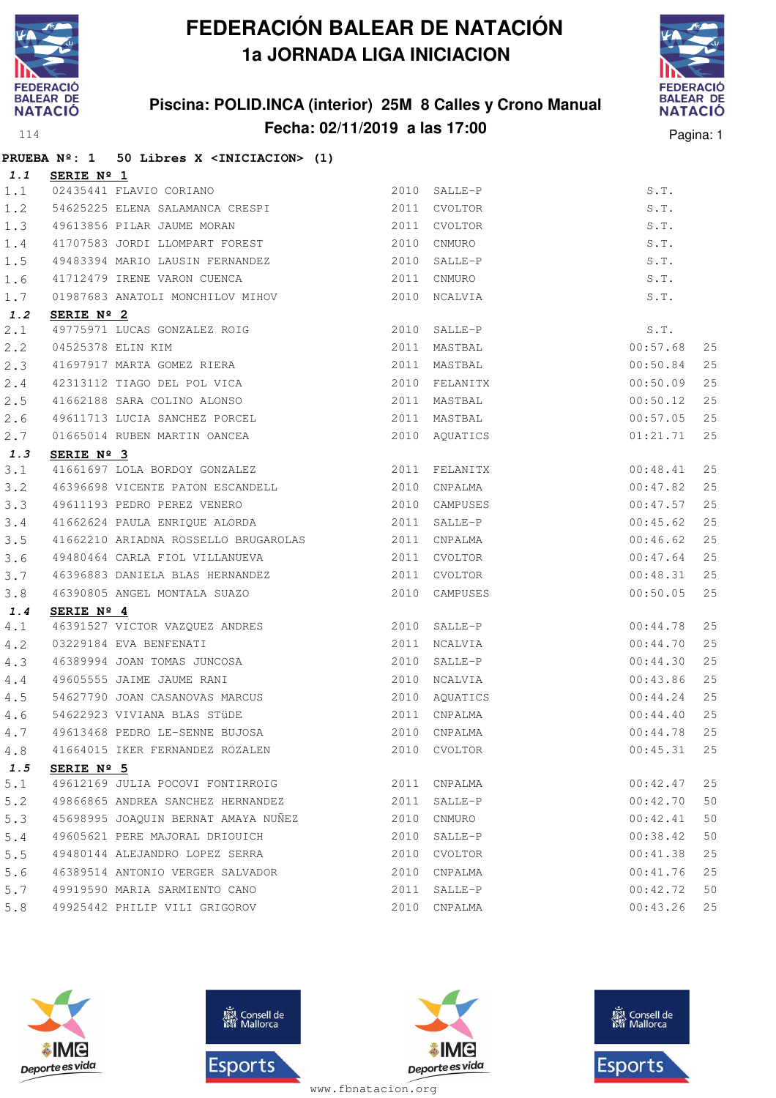

## **Piscina: POLID.INCA (interior) 25M 8 Calles y Crono Manual Fecha: 02/11/2019 a las 17:00** Pagina: 1



|             |                     | PRUEBA Nº: 1 50 Libres X <iniciacion> (1)</iniciacion>                                                                        |              |               |          |    |
|-------------|---------------------|-------------------------------------------------------------------------------------------------------------------------------|--------------|---------------|----------|----|
| 1.1         | <b>SERIE Nº 1</b>   |                                                                                                                               |              |               |          |    |
| 1.1         |                     | 02435441 FLAVIO CORIANO                                                                                                       |              | 2010 SALLE-P  | S.T.     |    |
| 1.2         |                     | 54625225 ELENA SALAMANCA CRESPI 2011 CVOLTOR                                                                                  |              |               | S.T.     |    |
| 1.3         |                     | 49613856 PILAR JAUME MORAN                                                                                                    | 2011         | CVOLTOR       | S.T.     |    |
| $1.4$       |                     | 41707583 JORDI LLOMPART FOREST 2010 CNMURO                                                                                    |              |               | S.T.     |    |
| 1.5         |                     | 49483394 MARIO LAUSIN FERNANDEZ                                                                                               |              | 2010 SALLE-P  | S.T.     |    |
| 1.6         |                     | 41712479 IRENE VARON CUENCA 2011                                                                                              |              | CNMURO        | S.T.     |    |
| 1.7         |                     | 01987683 ANATOLI MONCHILOV MIHOV                                                                                              |              | 2010 NCALVIA  | S.T.     |    |
| 1.2         | SERIE Nº 2          |                                                                                                                               |              |               |          |    |
| 2.1         |                     | 49775971 LUCAS GONZALEZ ROIG<br>04525378 ELIN KIM<br>41697917 MARTA GOMEZ RIERA                                               |              | 2010 SALLE-P  | S.T.     |    |
| 2.2         |                     |                                                                                                                               |              | 2011 MASTBAL  | 00:57.68 | 25 |
| 2.3         |                     |                                                                                                                               |              | 2011 MASTBAL  | 00:50.84 | 25 |
| $2 \cdot 4$ |                     | 42313112 TIAGO DEL POL VICA 2010 FELANITX                                                                                     |              |               | 00:50.09 | 25 |
| 2.5         |                     | 41662188 SARA COLINO ALONSO                                                                                                   |              | 2011 MASTBAL  | 00:50.12 | 25 |
| 2.6         |                     | 49611713 LUCIA SANCHEZ PORCEL                                                                                                 |              | 2011 MASTBAL  | 00:57.05 | 25 |
| 2.7         |                     | 01665014 RUBEN MARTIN OANCEA                                                                                                  |              | 2010 AQUATICS | 01:21.71 | 25 |
| 1.3         | SERIE Nº 3          |                                                                                                                               |              |               |          |    |
| 3.1         |                     | 41661697 LOLA BORDOY GONZALEZ 2011 FELANITX                                                                                   |              |               | 00:48.41 | 25 |
| 3.2         |                     | 46396698 VICENTE PATON ESCANDELL                                                                                              |              | 2010 CNPALMA  | 00:47.82 | 25 |
| 3.3         |                     | 49611193 PEDRO PEREZ VENERO 2010 CAMPUSES                                                                                     |              |               | 00:47.57 | 25 |
| 3.4         |                     | 41662624 PAULA ENRIQUE ALORDA (2011 SALLE-P                                                                                   |              |               | 00:45.62 | 25 |
| 3.5         |                     | 41662210 ARIADNA ROSSELLO BRUGAROLAS 2011 CNPALMA                                                                             |              |               | 00:46.62 | 25 |
| 3.6         |                     | 49480464 CARLA FIOL VILLANUEVA                                                                                                |              | 2011 CVOLTOR  | 00:47.64 | 25 |
| 3.7         |                     | 46396883 DANIELA BLAS HERNANDEZ 2011 CVOLTOR                                                                                  |              |               | 00:48.31 | 25 |
| 3.8         |                     | 46390805 ANGEL MONTALA SUAZO                                                                                                  |              | 2010 CAMPUSES | 00:50.05 | 25 |
| 1.4         | SERIE $N^{\circ}$ 4 |                                                                                                                               |              |               |          |    |
| 4.1         |                     |                                                                                                                               |              |               | 00:44.78 | 25 |
| 4.2         |                     | 2010 SALLE-P<br>16391527 VICTOR VAZQUEZ ANDRES<br>2010 SALLE-P<br>2011 NCALVIA<br>46389994 JOAN TOMAS JUNCOSA<br>2010 SALLE-P |              |               | 00:44.70 | 25 |
| 4.3         |                     |                                                                                                                               |              |               | 00:44.30 | 25 |
| 4.4         |                     | 49605555 JAIME JAUME RANI                                                                                                     | 2010 NCALVIA |               | 00:43.86 | 25 |
| 4.5         |                     | 54627790 JOAN CASANOVAS MARCUS 2010 AQUATICS                                                                                  |              |               | 00:44.24 | 25 |
| 4.6         |                     | 54622923 VIVIANA BLAS STÜDE<br>49613468 PEDRO LE-SENNE BUJOSA                                                                 |              | 2011 CNPALMA  | 00:44.40 | 25 |
| 4.7         |                     |                                                                                                                               |              | 2010 CNPALMA  | 00:44.78 | 25 |
| 4.8         |                     | 41664015 IKER FERNANDEZ ROZALEN                                                                                               |              | 2010 CVOLTOR  | 00:45.31 | 25 |
| 1.5         | SERIE $N^{\circ}$ 5 |                                                                                                                               |              |               |          |    |
| 5.1         |                     | 49612169 JULIA POCOVI FONTIRROIG                                                                                              |              | 2011 CNPALMA  | 00:42.47 | 25 |
| 5.2         |                     | 49866865 ANDREA SANCHEZ HERNANDEZ                                                                                             | 2011         | SALLE-P       | 00:42.70 | 50 |
| 5.3         |                     | 45698995 JOAQUIN BERNAT AMAYA NUÑEZ                                                                                           | 2010         | CNMURO        | 00:42.41 | 50 |
| $5.4$       |                     | 49605621 PERE MAJORAL DRIOUICH                                                                                                | 2010         | SALLE-P       | 00:38.42 | 50 |
| 5.5         |                     | 49480144 ALEJANDRO LOPEZ SERRA                                                                                                | 2010         | CVOLTOR       | 00:41.38 | 25 |
| 5.6         |                     | 46389514 ANTONIO VERGER SALVADOR                                                                                              | 2010         | CNPALMA       | 00:41.76 | 25 |
| 5.7         |                     | 49919590 MARIA SARMIENTO CANO                                                                                                 | 2011         | SALLE-P       | 00:42.72 | 50 |
| 5.8         |                     | 49925442 PHILIP VILI GRIGOROV                                                                                                 | 2010         | CNPALMA       | 00:43.26 | 25 |







**感** Consell de Esports

www.fbnatacion.org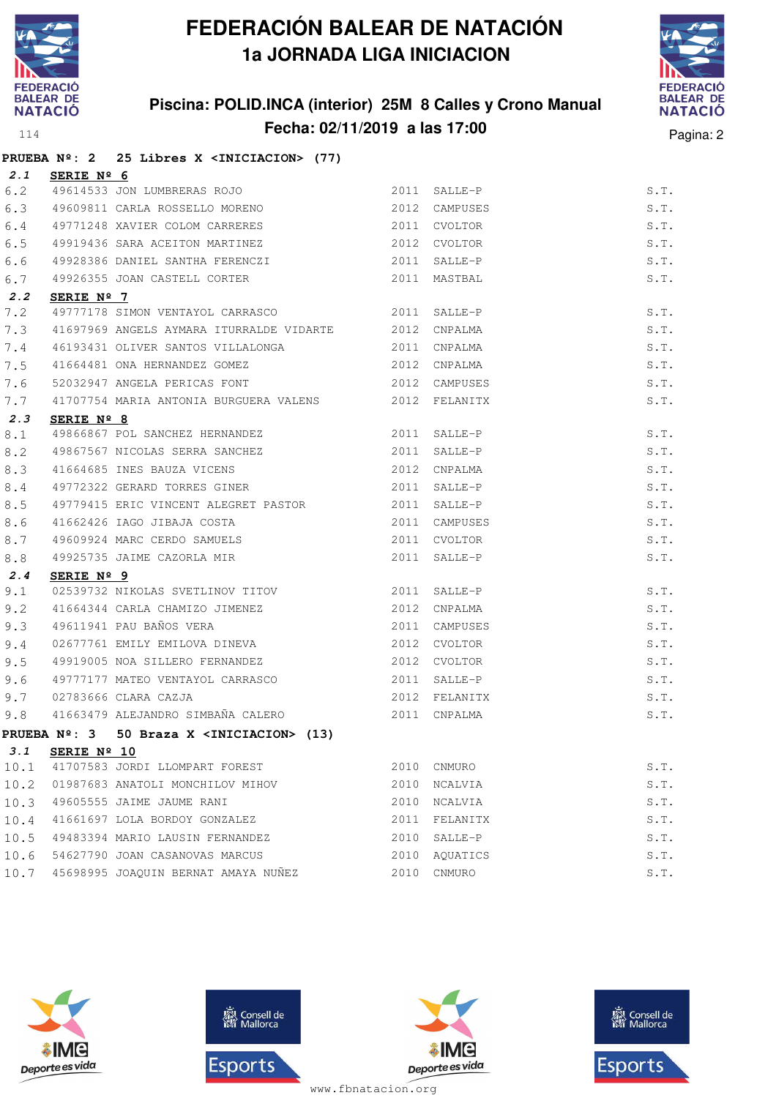

## **Piscina: POLID.INCA (interior) 25M 8 Calles y Crono Manual Fecha: 02/11/2019 a las 17:00** Pagina: 2



|      |                     | PRUEBA Nº: 2 25 Libres X <iniciacion> (77)</iniciacion>                                 |                |               |      |
|------|---------------------|-----------------------------------------------------------------------------------------|----------------|---------------|------|
| 2.1  | SERIE Nº 6          |                                                                                         |                |               |      |
| 6.2  |                     | 49614533 JON LUMBRERAS ROJO                                                             | $2011$ SALLE-P |               | S.T. |
| 6.3  |                     |                                                                                         |                |               | S.T. |
| 6.4  |                     | 49771248 XAVIER COLOM CARRERES                                                          |                | 2011 CVOLTOR  | S.T. |
| 6.5  |                     | 49919436 SARA ACEITON MARTINEZ                                                          |                | 2012 CVOLTOR  | S.T. |
| 6.6  |                     | 49928386 DANIEL SANTHA FERENCZI 3011 SALLE-P                                            |                |               | S.T. |
| 6.7  |                     | 49926355 JOAN CASTELL CORTER                                                            |                | 2011 MASTBAL  | S.T. |
| 2.2  | SERIE $N^{\circ}$ 7 |                                                                                         |                |               |      |
| 7.2  |                     | 49777178 SIMON VENTAYOL CARRASCO 2011 SALLE-P                                           |                |               | S.T. |
| 7.3  |                     | 41697969 ANGELS AYMARA ITURRALDE VIDARTE 2012 CNPALMA                                   |                |               | S.T. |
| 7.4  |                     | 46193431 OLIVER SANTOS VILLALONGA 2011 CNPALMA                                          |                |               | S.T. |
| 7.5  |                     | 41664481 ONA HERNANDEZ GOMEZ 2012 CNPALMA                                               |                |               | S.T. |
| 7.6  |                     | 52032947 ANGELA PERICAS FONT                                                            |                | 2012 CAMPUSES | S.T. |
| 7.7  |                     | 41707754 MARIA ANTONIA BURGUERA VALENS 2012 FELANITX                                    |                |               | S.T. |
| 2.3  | SERIE $N^{\circ}$ 8 |                                                                                         |                |               |      |
| 8.1  |                     | 49866867 POL SANCHEZ HERNANDEZ 2011 SALLE-P                                             |                |               | S.T. |
| 8.2  |                     | 49867567 NICOLAS SERRA SANCHEZ 2011                                                     |                | SALLE-P       | S.T. |
| 8.3  |                     | 41664685 INES BAUZA VICENS (2012 CNPALMA 2012 CNPALMA 49772322 GERARD TORRES GINER      |                |               | S.T. |
| 8.4  |                     |                                                                                         |                |               | S.T. |
| 8.5  |                     |                                                                                         |                |               | S.T. |
| 8.6  |                     |                                                                                         |                | 2011 CAMPUSES | S.T. |
| 8.7  |                     |                                                                                         |                | 2011 CVOLTOR  | S.T. |
| 8.8  |                     | 41662426 IAGO JIBAJA COSTA<br>49609924 MARC CERDO SAMUELS<br>49925735 JAIME CAZORLA MIR |                | 2011 SALLE-P  | S.T. |
| 2.4  | SERIE Nº 9          |                                                                                         |                |               |      |
| 9.1  |                     | 02539732 NIKOLAS SVETLINOV TITOV 2011 SALLE-P                                           |                |               | S.T. |
| 9.2  |                     |                                                                                         |                |               | S.T. |
| 9.3  |                     |                                                                                         |                | 2011 CAMPUSES | S.T. |
| 9.4  |                     |                                                                                         |                |               | S.T. |
| 9.5  |                     | 49919005 NOA SILLERO FERNANDEZ 2012 CVOLTOR                                             |                |               | S.T. |
| 9.6  |                     | 49777177 MATEO VENTAYOL CARRASCO                                                        |                | 2011 SALLE-P  | S.T. |
| 9.7  |                     | 02783666 CLARA CAZJA                                                                    |                | 2012 FELANITX | S.T. |
| 9.8  |                     | 41663479 ALEJANDRO SIMBAÑA CALERO                                                       |                | 2011 CNPALMA  | S.T. |
|      |                     | PRUEBA Nº: 3 50 Braza X <iniciacion> (13)</iniciacion>                                  |                |               |      |
| 3.1  | SERIE Nº 10         |                                                                                         |                |               |      |
| 10.1 |                     | 41707583 JORDI LLOMPART FOREST                                                          | 2010           | CNMURO        | S.T. |
| 10.2 |                     | 01987683 ANATOLI MONCHILOV MIHOV                                                        | 2010           | NCALVIA       | S.T. |
| 10.3 |                     | 49605555 JAIME JAUME RANI                                                               | 2010           | NCALVIA       | S.T. |
| 10.4 |                     | 41661697 LOLA BORDOY GONZALEZ                                                           | 2011           | FELANITX      | S.T. |
| 10.5 |                     | 49483394 MARIO LAUSIN FERNANDEZ                                                         | 2010           | SALLE-P       | S.T. |
| 10.6 |                     | 54627790 JOAN CASANOVAS MARCUS                                                          | 2010           | AQUATICS      | S.T. |
| 10.7 |                     | 45698995 JOAQUIN BERNAT AMAYA NUÑEZ                                                     | 2010           | CNMURO        | S.T. |









www.fbnatacion.org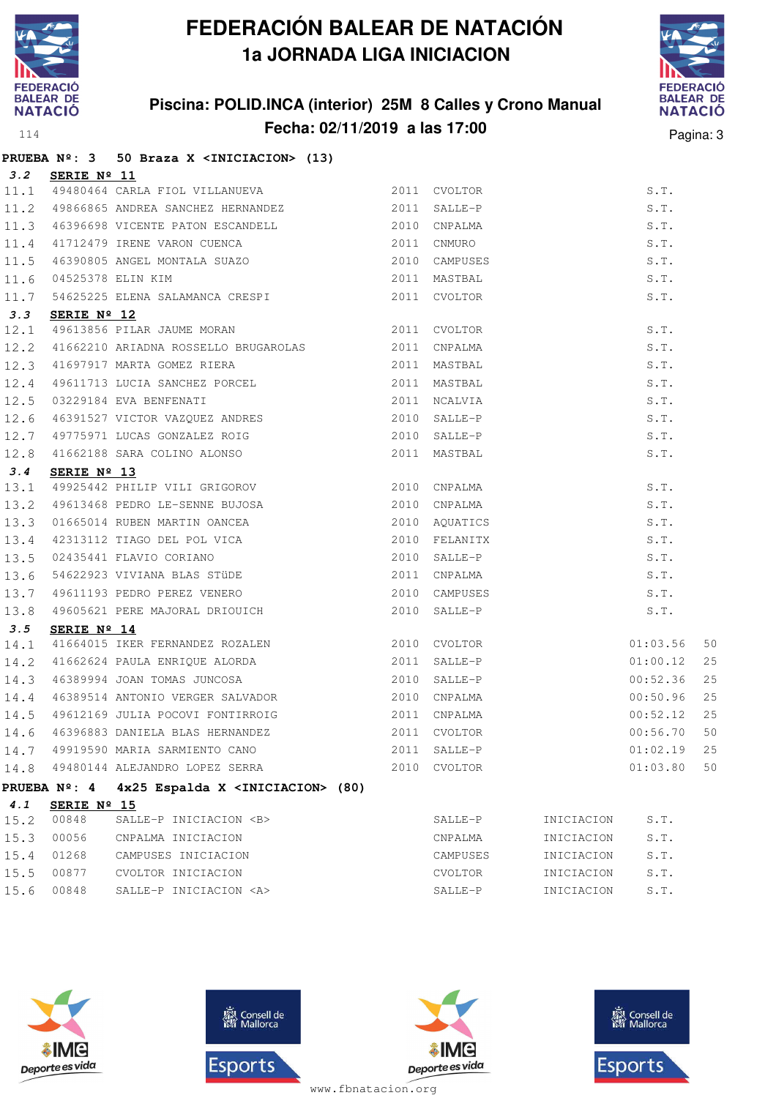

## **Piscina: POLID.INCA (interior) 25M 8 Calles y Crono Manual Fecha: 02/11/2019 a las 17:00** Pagina: 3



|      |                      | PRUEBA Nº: 3 50 Braza X <iniciacion> (13)</iniciacion>                                                                                                                                                                                 |  |          |    |
|------|----------------------|----------------------------------------------------------------------------------------------------------------------------------------------------------------------------------------------------------------------------------------|--|----------|----|
|      | 3.2 SERIE Nº 11      |                                                                                                                                                                                                                                        |  |          |    |
|      |                      | 11.1 49480464 CARLA FIOL VILLANUEVA 2011 CVOLTOR                                                                                                                                                                                       |  | S.T.     |    |
|      |                      | 11.2 49866865 ANDREA SANCHEZ HERNANDEZ 2011 SALLE-P                                                                                                                                                                                    |  | S.T.     |    |
|      |                      |                                                                                                                                                                                                                                        |  | S.T.     |    |
|      |                      |                                                                                                                                                                                                                                        |  | S.T.     |    |
|      |                      | 11.3 46396698 VICENTE PATON ESCANDELL 2010 CNPALMA<br>11.4 41712479 IRENE VARON CUENCA 2011 CNMURO<br>11.5 46390805 ANGEL MONTALA SUAZO 2010 CAMPUSES<br>11.6 04525378 ELIN KIM 2011 MASTBAL<br>11.7 54625225 ELENA SALAMANCA CRESPI 2 |  | S.T.     |    |
|      |                      |                                                                                                                                                                                                                                        |  | S.T.     |    |
|      |                      |                                                                                                                                                                                                                                        |  | S.T.     |    |
| 3.3  | SERIE $N^{\circ}$ 12 |                                                                                                                                                                                                                                        |  |          |    |
|      |                      | 12.1 49613856 PILAR JAUME MORAN 2011 CVOLTOR                                                                                                                                                                                           |  |          |    |
|      |                      |                                                                                                                                                                                                                                        |  |          |    |
|      |                      |                                                                                                                                                                                                                                        |  |          |    |
|      |                      |                                                                                                                                                                                                                                        |  |          |    |
|      |                      |                                                                                                                                                                                                                                        |  |          |    |
|      |                      |                                                                                                                                                                                                                                        |  |          |    |
|      |                      |                                                                                                                                                                                                                                        |  |          |    |
|      |                      |                                                                                                                                                                                                                                        |  |          |    |
|      |                      |                                                                                                                                                                                                                                        |  |          |    |
|      |                      |                                                                                                                                                                                                                                        |  |          |    |
|      |                      |                                                                                                                                                                                                                                        |  |          |    |
|      |                      |                                                                                                                                                                                                                                        |  |          |    |
|      |                      |                                                                                                                                                                                                                                        |  |          |    |
|      |                      |                                                                                                                                                                                                                                        |  |          |    |
|      |                      |                                                                                                                                                                                                                                        |  |          |    |
|      |                      |                                                                                                                                                                                                                                        |  |          |    |
|      |                      |                                                                                                                                                                                                                                        |  |          |    |
| 3.5  | SERIE $N^{\circ}$ 14 |                                                                                                                                                                                                                                        |  |          |    |
|      |                      | 14.1 41664015 IKER FERNANDEZ ROZALEN 2010 CVOLTOR                                                                                                                                                                                      |  | 01:03.56 | 50 |
|      |                      | 14.2 41662624 PAULA ENRIQUE ALORDA 2011 SALLE-P                                                                                                                                                                                        |  | 01:00.12 | 25 |
|      |                      | 14.3 46389994 JOAN TOMAS JUNCOSA 2010 SALLE-P                                                                                                                                                                                          |  | 00:52.36 | 25 |
| 14.4 |                      | 46389514 ANTONIO VERGER SALVADOR 2010 CNPALMA                                                                                                                                                                                          |  | 00:50.96 | 25 |
| 14.5 |                      | 49612169 JULIA POCOVI FONTIRROIG 2011 CNPALMA                                                                                                                                                                                          |  | 00:52.12 | 25 |
| 14.6 |                      | 46396883 DANIELA BLAS HERNANDEZ 2011 CVOLTOR                                                                                                                                                                                           |  | 00:56.70 | 50 |
|      |                      |                                                                                                                                                                                                                                        |  | 01:02.19 | 25 |
|      |                      | 14.7 49919590 MARIA SARMIENTO CANO 62011 SALLE-P<br>14.8 49480144 ALEJANDRO LOPEZ SERRA 2010 CVOLTOR                                                                                                                                   |  | 01:03.80 | 50 |
|      |                      | PRUEBA Nº: 4 4x25 Espalda X <iniciacion> (80)</iniciacion>                                                                                                                                                                             |  |          |    |

| -----<br>-- | -----<br>. . | ------- |
|-------------|--------------|---------|
|             | SERIE Nº     |         |

|            | 15.2 00848 | SALLE-P INICIACION <b></b> | SALLE-P  | INICIACION | S.T. |
|------------|------------|----------------------------|----------|------------|------|
|            | 15.3 00056 | CNPALMA INICIACION         | CNPALMA  | INICIACION | S.T. |
| 15.4 01268 |            | CAMPUSES INICIACION        | CAMPUSES | INICIACION | S.T. |
|            | 15.5 00877 | CVOLTOR INICIACION         | CVOLTOR  | INICIACION | S.T. |
| 15.6 00848 |            | SALLE-P INICIACION <a></a> | SALLE-P  | INICIACION | S.T. |
|            |            |                            |          |            |      |









www.fbnatacion.org